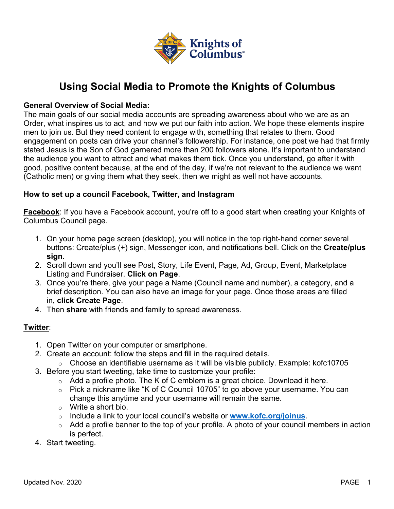

# **Using Social Media to Promote the Knights of Columbus**

# **General Overview of Social Media:**

The main goals of our social media accounts are spreading awareness about who we are as an Order, what inspires us to act, and how we put our faith into action. We hope these elements inspire men to join us. But they need content to engage with, something that relates to them. Good engagement on posts can drive your channel's followership. For instance, one post we had that firmly stated Jesus is the Son of God garnered more than 200 followers alone. It's important to understand the audience you want to attract and what makes them tick. Once you understand, go after it with good, positive content because, at the end of the day, if we're not relevant to the audience we want (Catholic men) or giving them what they seek, then we might as well not have accounts.

# **How to set up a council Facebook, Twitter, and Instagram**

**Facebook**: If you have a Facebook account, you're off to a good start when creating your Knights of Columbus Council page.

- 1. On your home page screen (desktop), you will notice in the top right-hand corner several buttons: Create/plus (+) sign, Messenger icon, and notifications bell. Click on the **Create/plus sign**.
- 2. Scroll down and you'll see Post, Story, Life Event, Page, Ad, Group, Event, Marketplace Listing and Fundraiser. **Click on Page**.
- 3. Once you're there, give your page a Name (Council name and number), a category, and a brief description. You can also have an image for your page. Once those areas are filled in, **click Create Page**.
- 4. Then **share** with friends and family to spread awareness.

# **Twitter**:

- 1. Open Twitter on your computer or smartphone.
- 2. Create an account: follow the steps and fill in the required details.
	- $\circ$  Choose an identifiable username as it will be visible publicly. Example: kofc10705
- 3. Before you start tweeting, take time to customize your profile:
	- $\circ$  Add a profile photo. The K of C emblem is a great choice. Download it here.
	- o Pick a nickname like "K of C Council 10705" to go above your username. You can change this anytime and your username will remain the same.
	- o Write a short bio.
	- o Include a link to your local council's website or **www.kofc.org/joinus**.
	- $\circ$  Add a profile banner to the top of your profile. A photo of your council members in action is perfect.
- 4. Start tweeting.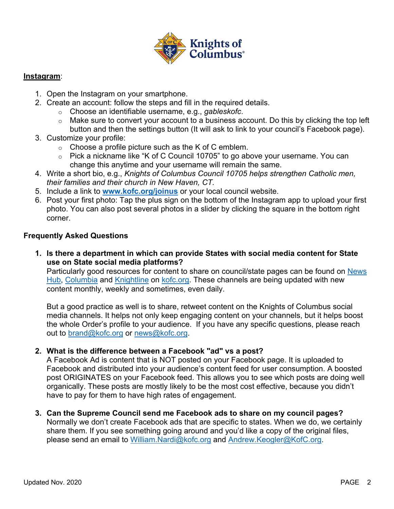

#### **Instagram**:

- 1. Open the Instagram on your smartphone.
- 2. Create an account: follow the steps and fill in the required details.
	- o Choose an identifiable username, e.g., *gableskofc*.
	- o Make sure to convert your account to a business account. Do this by clicking the top left button and then the settings button (It will ask to link to your council's Facebook page).
- 3. Customize your profile:
	- $\circ$  Choose a profile picture such as the K of C emblem.
	- o Pick a nickname like "K of C Council 10705" to go above your username. You can change this anytime and your username will remain the same.
- 4. Write a short bio, e.g., *Knights of Columbus Council 10705 helps strengthen Catholic men, their families and their church in New Haven, CT.*
- 5. Include a link to **www.kofc.org/joinus** or your local council website.
- 6. Post your first photo: Tap the plus sign on the bottom of the Instagram app to upload your first photo. You can also post several photos in a slider by clicking the square in the bottom right corner.

# **Frequently Asked Questions**

**1. Is there a department in which can provide States with social media content for State use on State social media platforms?**

Particularly good resources for content to share on council/state pages can be found on News Hub, Columbia and Knightline on kofc.org. These channels are being updated with new content monthly, weekly and sometimes, even daily.

But a good practice as well is to share, retweet content on the Knights of Columbus social media channels. It helps not only keep engaging content on your channels, but it helps boost the whole Order's profile to your audience. If you have any specific questions, please reach out to brand@kofc.org or news@kofc.org.

# **2. What is the difference between a Facebook "ad" vs a post?**

A Facebook Ad is content that is NOT posted on your Facebook page. It is uploaded to Facebook and distributed into your audience's content feed for user consumption. A boosted post ORIGINATES on your Facebook feed. This allows you to see which posts are doing well organically. These posts are mostly likely to be the most cost effective, because you didn't have to pay for them to have high rates of engagement.

**3. Can the Supreme Council send me Facebook ads to share on my council pages?** Normally we don't create Facebook ads that are specific to states. When we do, we certainly share them. If you see something going around and you'd like a copy of the original files, please send an email to William.Nardi@kofc.org and Andrew.Keogler@KofC.org.